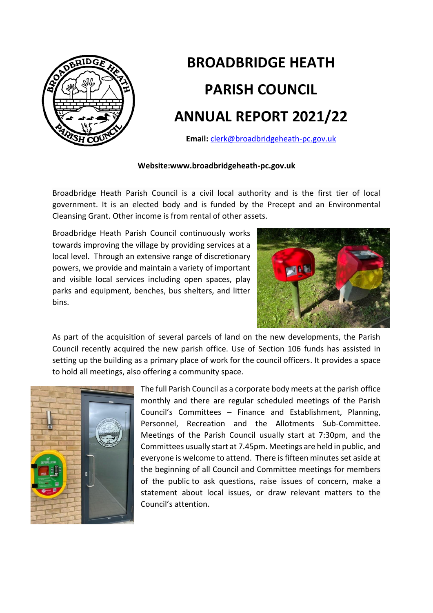

## **BROADBRIDGE HEATH PARISH COUNCIL ANNUAL REPORT 2021/22**

**Email:** [clerk@broadbridgeheath-pc.gov.uk](mailto:clerk@broadbridgeheath-pc.gov.uk)

## **Website:www.broadbridgeheath-pc.gov.uk**

Broadbridge Heath Parish Council is a civil local authority and is the first tier of local government. It is an elected body and is funded by the Precept and an Environmental Cleansing Grant. Other income is from rental of other assets.

Broadbridge Heath Parish Council continuously works towards improving the village by providing services at a local level. Through an extensive range of discretionary powers, we provide and maintain a variety of important and visible local services including open spaces, play parks and equipment, benches, bus shelters, and litter bins.



As part of the acquisition of several parcels of land on the new developments, the Parish Council recently acquired the new parish office. Use of Section 106 funds has assisted in setting up the building as a primary place of work for the council officers. It provides a space to hold all meetings, also offering a community space.



The full Parish Council as a corporate body meets at the parish office monthly and there are regular scheduled meetings of the Parish Council's Committees – Finance and Establishment, Planning, Personnel, Recreation and the Allotments Sub-Committee. Meetings of the Parish Council usually start at 7:30pm, and the Committees usually start at 7.45pm. Meetings are held in public, and everyone is welcome to attend. There is fifteen minutes set aside at the beginning of all Council and Committee meetings for members of the public to ask questions, raise issues of concern, make a statement about local issues, or draw relevant matters to the Council's attention.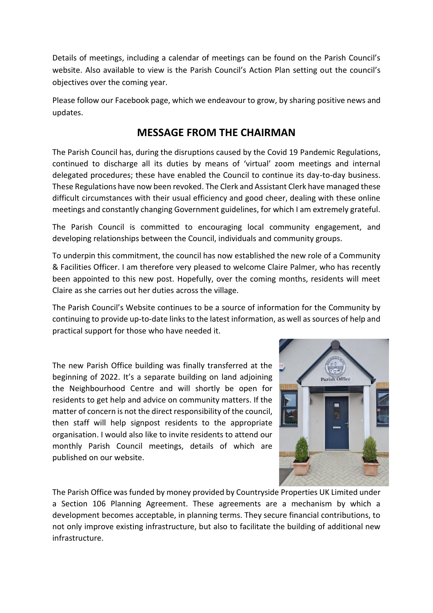Details of meetings, including a calendar of meetings can be found on the Parish Council's website. Also available to view is the Parish Council's Action Plan setting out the council's objectives over the coming year.

Please follow our Facebook page, which we endeavour to grow, by sharing positive news and updates.

## **MESSAGE FROM THE CHAIRMAN**

The Parish Council has, during the disruptions caused by the Covid 19 Pandemic Regulations, continued to discharge all its duties by means of 'virtual' zoom meetings and internal delegated procedures; these have enabled the Council to continue its day-to-day business. These Regulations have now been revoked. The Clerk and Assistant Clerk have managed these difficult circumstances with their usual efficiency and good cheer, dealing with these online meetings and constantly changing Government guidelines, for which I am extremely grateful.

The Parish Council is committed to encouraging local community engagement, and developing relationships between the Council, individuals and community groups.

To underpin this commitment, the council has now established the new role of a Community & Facilities Officer. I am therefore very pleased to welcome Claire Palmer, who has recently been appointed to this new post. Hopefully, over the coming months, residents will meet Claire as she carries out her duties across the village.

The Parish Council's Website continues to be a source of information for the Community by continuing to provide up-to-date links to the latest information, as well as sources of help and practical support for those who have needed it.

The new Parish Office building was finally transferred at the beginning of 2022. It's a separate building on land adjoining the Neighbourhood Centre and will shortly be open for residents to get help and advice on community matters. If the matter of concern is not the direct responsibility of the council, then staff will help signpost residents to the appropriate organisation. I would also like to invite residents to attend our monthly Parish Council meetings, details of which are published on our website.



The Parish Office was funded by money provided by Countryside Properties UK Limited under a Section 106 Planning Agreement. These agreements are a mechanism by which a development becomes acceptable, in planning terms. They secure financial contributions, to not only improve existing infrastructure, but also to facilitate the building of additional new infrastructure.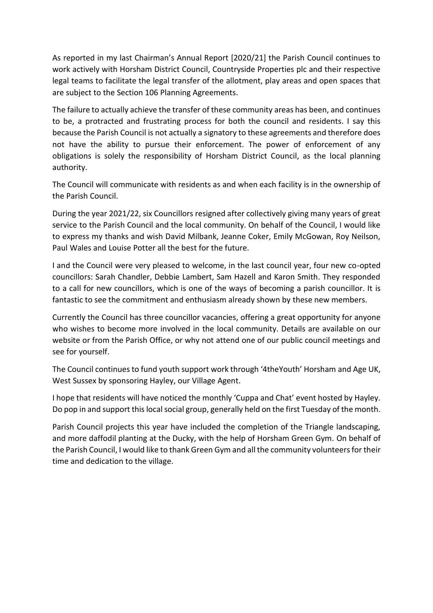As reported in my last Chairman's Annual Report [2020/21] the Parish Council continues to work actively with Horsham District Council, Countryside Properties plc and their respective legal teams to facilitate the legal transfer of the allotment, play areas and open spaces that are subject to the Section 106 Planning Agreements.

The failure to actually achieve the transfer of these community areas has been, and continues to be, a protracted and frustrating process for both the council and residents. I say this because the Parish Council is not actually a signatory to these agreements and therefore does not have the ability to pursue their enforcement. The power of enforcement of any obligations is solely the responsibility of Horsham District Council, as the local planning authority.

The Council will communicate with residents as and when each facility is in the ownership of the Parish Council.

During the year 2021/22, six Councillors resigned after collectively giving many years of great service to the Parish Council and the local community. On behalf of the Council, I would like to express my thanks and wish David Milbank, Jeanne Coker, Emily McGowan, Roy Neilson, Paul Wales and Louise Potter all the best for the future.

I and the Council were very pleased to welcome, in the last council year, four new co-opted councillors: Sarah Chandler, Debbie Lambert, Sam Hazell and Karon Smith. They responded to a call for new councillors, which is one of the ways of becoming a parish councillor. It is fantastic to see the commitment and enthusiasm already shown by these new members.

Currently the Council has three councillor vacancies, offering a great opportunity for anyone who wishes to become more involved in the local community. Details are available on our website or from the Parish Office, or why not attend one of our public council meetings and see for yourself.

The Council continues to fund youth support work through '4theYouth' Horsham and Age UK, West Sussex by sponsoring Hayley, our Village Agent.

I hope that residents will have noticed the monthly 'Cuppa and Chat' event hosted by Hayley. Do pop in and support this local social group, generally held on the first Tuesday of the month.

Parish Council projects this year have included the completion of the Triangle landscaping, and more daffodil planting at the Ducky, with the help of Horsham Green Gym. On behalf of the Parish Council, I would like to thank Green Gym and all the community volunteers for their time and dedication to the village.